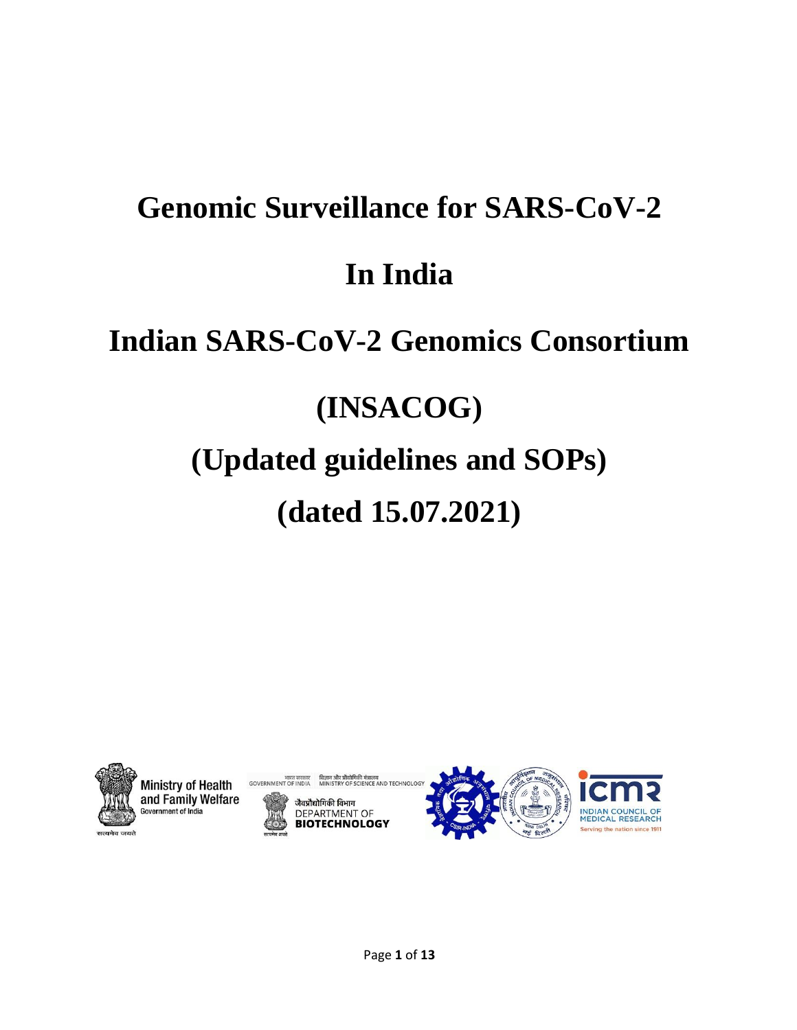# **Genomic Surveillance for SARS-CoV-2**

## **In India**

## **Indian SARS-CoV-2 Genomics Consortium**

## **(INSACOG)**

# **(Updated guidelines and SOPs)**

# **(dated 15.07.2021)**





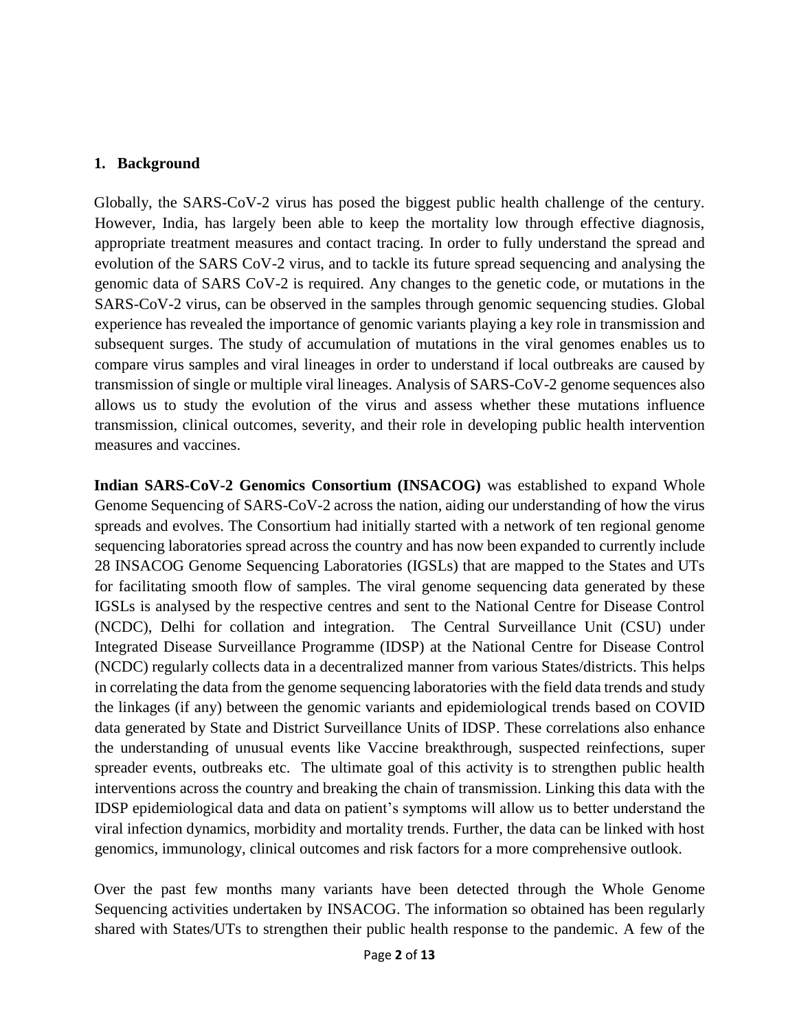#### **1. Background**

Globally, the SARS-CoV-2 virus has posed the biggest public health challenge of the century. However, India, has largely been able to keep the mortality low through effective diagnosis, appropriate treatment measures and contact tracing. In order to fully understand the spread and evolution of the SARS CoV-2 virus, and to tackle its future spread sequencing and analysing the genomic data of SARS CoV-2 is required. Any changes to the genetic code, or mutations in the SARS-CoV-2 virus, can be observed in the samples through genomic sequencing studies. Global experience has revealed the importance of genomic variants playing a key role in transmission and subsequent surges. The study of accumulation of mutations in the viral genomes enables us to compare virus samples and viral lineages in order to understand if local outbreaks are caused by transmission of single or multiple viral lineages. Analysis of SARS-CoV-2 genome sequences also allows us to study the evolution of the virus and assess whether these mutations influence transmission, clinical outcomes, severity, and their role in developing public health intervention measures and vaccines.

**Indian SARS-CoV-2 Genomics Consortium (INSACOG)** was established to expand Whole Genome Sequencing of SARS-CoV-2 across the nation, aiding our understanding of how the virus spreads and evolves. The Consortium had initially started with a network of ten regional genome sequencing laboratories spread across the country and has now been expanded to currently include 28 INSACOG Genome Sequencing Laboratories (IGSLs) that are mapped to the States and UTs for facilitating smooth flow of samples. The viral genome sequencing data generated by these IGSLs is analysed by the respective centres and sent to the National Centre for Disease Control (NCDC), Delhi for collation and integration. The Central Surveillance Unit (CSU) under Integrated Disease Surveillance Programme (IDSP) at the National Centre for Disease Control (NCDC) regularly collects data in a decentralized manner from various States/districts. This helps in correlating the data from the genome sequencing laboratories with the field data trends and study the linkages (if any) between the genomic variants and epidemiological trends based on COVID data generated by State and District Surveillance Units of IDSP. These correlations also enhance the understanding of unusual events like Vaccine breakthrough, suspected reinfections, super spreader events, outbreaks etc. The ultimate goal of this activity is to strengthen public health interventions across the country and breaking the chain of transmission. Linking this data with the IDSP epidemiological data and data on patient's symptoms will allow us to better understand the viral infection dynamics, morbidity and mortality trends. Further, the data can be linked with host genomics, immunology, clinical outcomes and risk factors for a more comprehensive outlook.

Over the past few months many variants have been detected through the Whole Genome Sequencing activities undertaken by INSACOG. The information so obtained has been regularly shared with States/UTs to strengthen their public health response to the pandemic. A few of the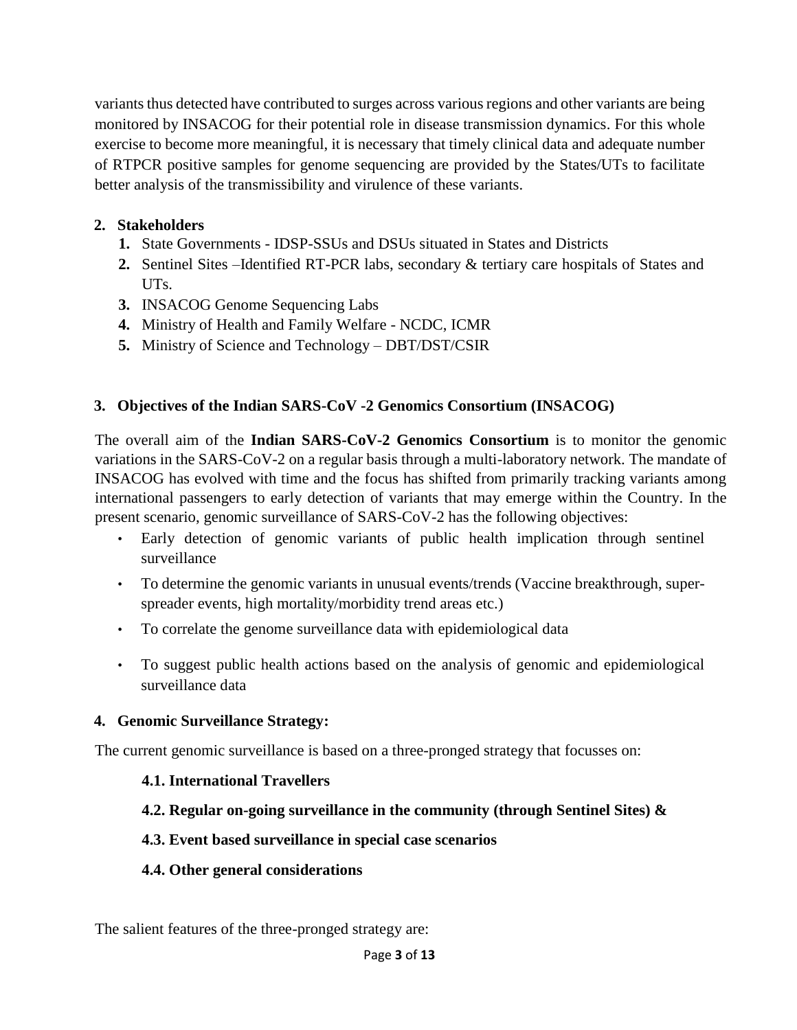variants thus detected have contributed to surges across various regions and other variants are being monitored by INSACOG for their potential role in disease transmission dynamics. For this whole exercise to become more meaningful, it is necessary that timely clinical data and adequate number of RTPCR positive samples for genome sequencing are provided by the States/UTs to facilitate better analysis of the transmissibility and virulence of these variants.

## **2. Stakeholders**

- **1.** State Governments IDSP-SSUs and DSUs situated in States and Districts
- **2.** Sentinel Sites –Identified RT-PCR labs, secondary & tertiary care hospitals of States and UTs.
- **3.** INSACOG Genome Sequencing Labs
- **4.** Ministry of Health and Family Welfare NCDC, ICMR
- **5.** Ministry of Science and Technology DBT/DST/CSIR

## **3. Objectives of the Indian SARS-CoV -2 Genomics Consortium (INSACOG)**

The overall aim of the **Indian SARS-CoV-2 Genomics Consortium** is to monitor the genomic variations in the SARS-CoV-2 on a regular basis through a multi-laboratory network. The mandate of INSACOG has evolved with time and the focus has shifted from primarily tracking variants among international passengers to early detection of variants that may emerge within the Country. In the present scenario, genomic surveillance of SARS-CoV-2 has the following objectives:

- Early detection of genomic variants of public health implication through sentinel surveillance
- To determine the genomic variants in unusual events/trends (Vaccine breakthrough, superspreader events, high mortality/morbidity trend areas etc.)
- To correlate the genome surveillance data with epidemiological data
- To suggest public health actions based on the analysis of genomic and epidemiological surveillance data

## **4. Genomic Surveillance Strategy:**

The current genomic surveillance is based on a three-pronged strategy that focusses on:

## **4.1. International Travellers**

## **4.2. Regular on-going surveillance in the community (through Sentinel Sites) &**

## **4.3. Event based surveillance in special case scenarios**

## **4.4. Other general considerations**

The salient features of the three-pronged strategy are: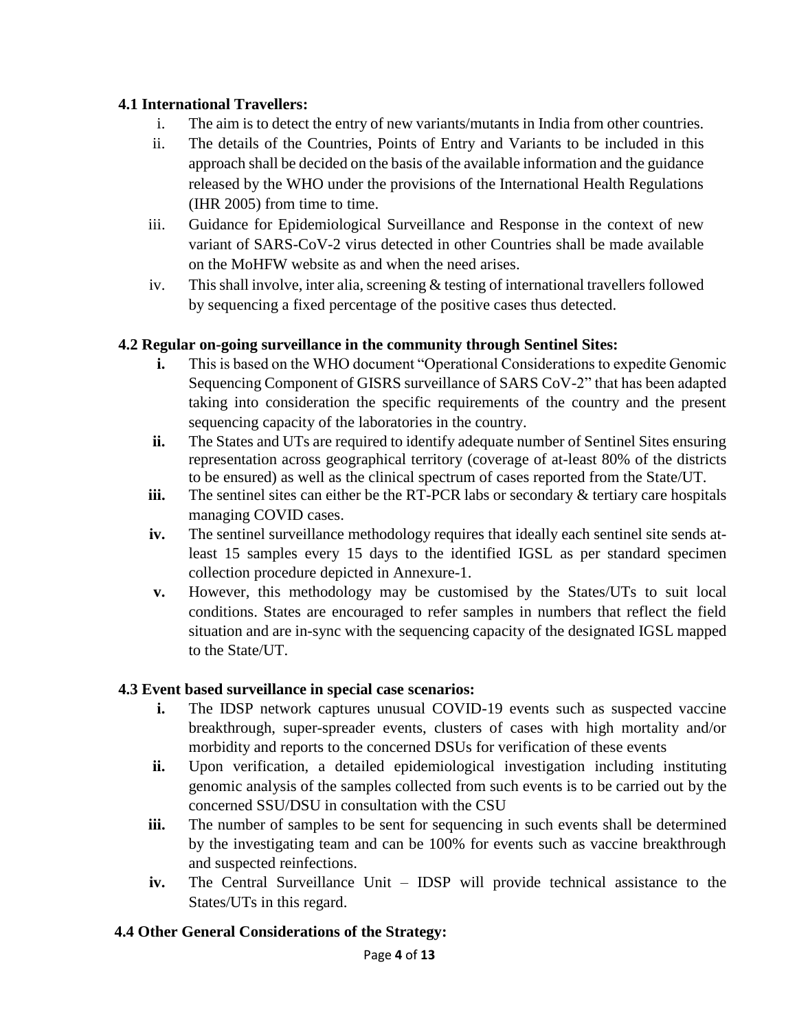## **4.1 International Travellers:**

- i. The aim is to detect the entry of new variants/mutants in India from other countries.
- ii. The details of the Countries, Points of Entry and Variants to be included in this approach shall be decided on the basis of the available information and the guidance released by the WHO under the provisions of the International Health Regulations (IHR 2005) from time to time.
- iii. Guidance for Epidemiological Surveillance and Response in the context of new variant of SARS-CoV-2 virus detected in other Countries shall be made available on the MoHFW website as and when the need arises.
- iv. This shall involve, inter alia, screening & testing of international travellers followed by sequencing a fixed percentage of the positive cases thus detected.

## **4.2 Regular on-going surveillance in the community through Sentinel Sites:**

- **i.** This is based on the WHO document "Operational Considerations to expedite Genomic Sequencing Component of GISRS surveillance of SARS CoV-2" that has been adapted taking into consideration the specific requirements of the country and the present sequencing capacity of the laboratories in the country.
- **ii.** The States and UTs are required to identify adequate number of Sentinel Sites ensuring representation across geographical territory (coverage of at-least 80% of the districts to be ensured) as well as the clinical spectrum of cases reported from the State/UT.
- iii. The sentinel sites can either be the RT-PCR labs or secondary  $\&$  tertiary care hospitals managing COVID cases.
- **iv.** The sentinel surveillance methodology requires that ideally each sentinel site sends atleast 15 samples every 15 days to the identified IGSL as per standard specimen collection procedure depicted in Annexure-1.
- **v.** However, this methodology may be customised by the States/UTs to suit local conditions. States are encouraged to refer samples in numbers that reflect the field situation and are in-sync with the sequencing capacity of the designated IGSL mapped to the State/UT.

## **4.3 Event based surveillance in special case scenarios:**

- **i.** The IDSP network captures unusual COVID-19 events such as suspected vaccine breakthrough, super-spreader events, clusters of cases with high mortality and/or morbidity and reports to the concerned DSUs for verification of these events
- **ii.** Upon verification, a detailed epidemiological investigation including instituting genomic analysis of the samples collected from such events is to be carried out by the concerned SSU/DSU in consultation with the CSU
- **iii.** The number of samples to be sent for sequencing in such events shall be determined by the investigating team and can be 100% for events such as vaccine breakthrough and suspected reinfections.
- **iv.** The Central Surveillance Unit IDSP will provide technical assistance to the States/UTs in this regard.

## **4.4 Other General Considerations of the Strategy:**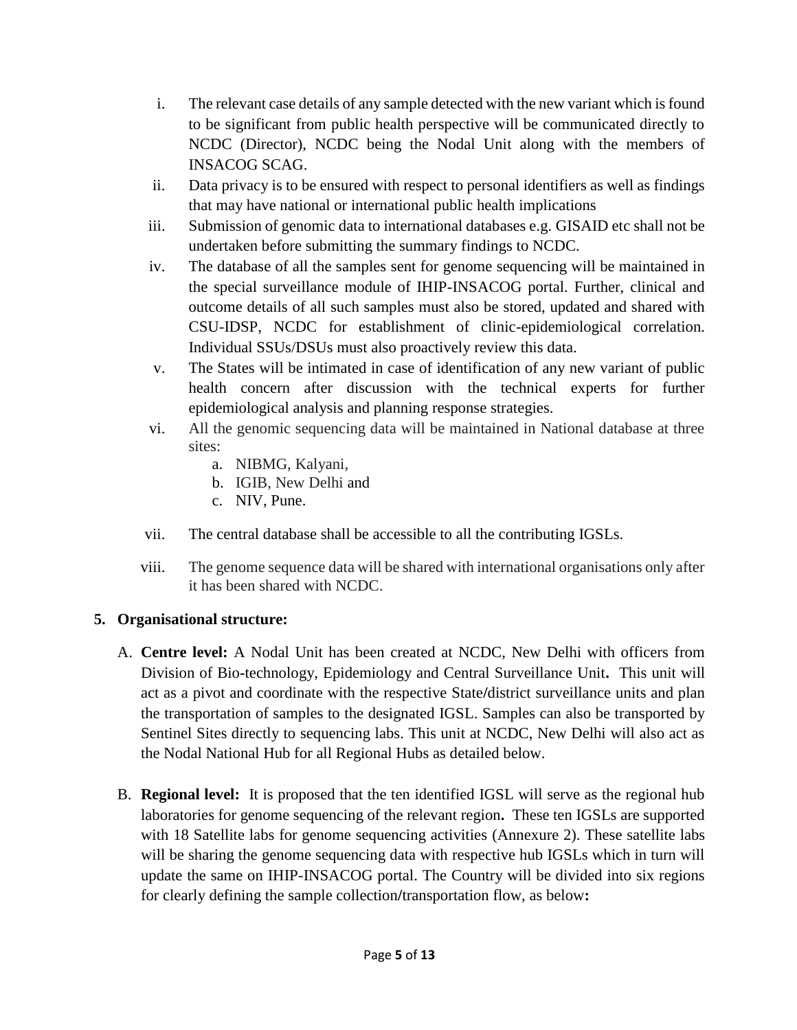- i. The relevant case details of any sample detected with the new variant which is found to be significant from public health perspective will be communicated directly to NCDC (Director), NCDC being the Nodal Unit along with the members of INSACOG SCAG.
- ii. Data privacy is to be ensured with respect to personal identifiers as well as findings that may have national or international public health implications
- iii. Submission of genomic data to international databases e.g. GISAID etc shall not be undertaken before submitting the summary findings to NCDC.
- iv. The database of all the samples sent for genome sequencing will be maintained in the special surveillance module of IHIP-INSACOG portal. Further, clinical and outcome details of all such samples must also be stored, updated and shared with CSU-IDSP, NCDC for establishment of clinic-epidemiological correlation. Individual SSUs/DSUs must also proactively review this data.
- v. The States will be intimated in case of identification of any new variant of public health concern after discussion with the technical experts for further epidemiological analysis and planning response strategies.
- vi. All the genomic sequencing data will be maintained in National database at three sites:
	- a. NIBMG, Kalyani,
	- b. IGIB, New Delhi and
	- c. NIV, Pune.
- vii. The central database shall be accessible to all the contributing IGSLs.
- viii. The genome sequence data will be shared with international organisations only after it has been shared with NCDC.

## **5. Organisational structure:**

- A. **Centre level:** A Nodal Unit has been created at NCDC, New Delhi with officers from Division of Bio**-**technology, Epidemiology and Central Surveillance Unit**.** This unit will act as a pivot and coordinate with the respective State**/**district surveillance units and plan the transportation of samples to the designated IGSL. Samples can also be transported by Sentinel Sites directly to sequencing labs. This unit at NCDC, New Delhi will also act as the Nodal National Hub for all Regional Hubs as detailed below.
- B. **Regional level:** It is proposed that the ten identified IGSL will serve as the regional hub laboratories for genome sequencing of the relevant region**.** These ten IGSLs are supported with 18 Satellite labs for genome sequencing activities (Annexure 2). These satellite labs will be sharing the genome sequencing data with respective hub IGSLs which in turn will update the same on IHIP-INSACOG portal. The Country will be divided into six regions for clearly defining the sample collection**/**transportation flow, as below**:**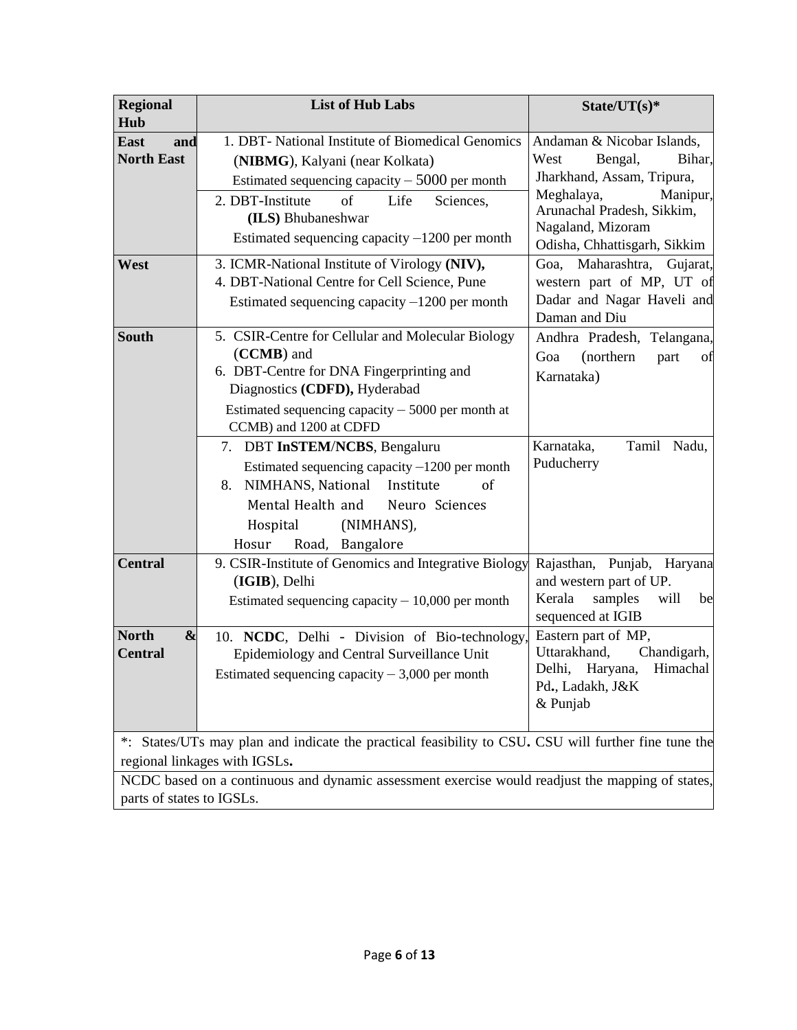| <b>Regional</b><br>Hub                                                                                                             | <b>List of Hub Labs</b>                                                                                                                                                                                                                                                                                                                                                                               | State/UT(s)*                                                                                                                                                                                       |  |  |  |  |
|------------------------------------------------------------------------------------------------------------------------------------|-------------------------------------------------------------------------------------------------------------------------------------------------------------------------------------------------------------------------------------------------------------------------------------------------------------------------------------------------------------------------------------------------------|----------------------------------------------------------------------------------------------------------------------------------------------------------------------------------------------------|--|--|--|--|
| <b>East</b><br>and<br><b>North East</b>                                                                                            | 1. DBT- National Institute of Biomedical Genomics<br>(NIBMG), Kalyani (near Kolkata)<br>Estimated sequencing capacity $-5000$ per month<br>of<br>2. DBT-Institute<br>Life<br>Sciences,<br>(ILS) Bhubaneshwar<br>Estimated sequencing capacity $-1200$ per month                                                                                                                                       | Andaman & Nicobar Islands,<br>Bengal,<br>West<br>Bihar,<br>Jharkhand, Assam, Tripura,<br>Meghalaya,<br>Manipur,<br>Arunachal Pradesh, Sikkim,<br>Nagaland, Mizoram<br>Odisha, Chhattisgarh, Sikkim |  |  |  |  |
| West                                                                                                                               | 3. ICMR-National Institute of Virology (NIV),<br>4. DBT-National Centre for Cell Science, Pune<br>Estimated sequencing capacity $-1200$ per month                                                                                                                                                                                                                                                     | Goa, Maharashtra,<br>Gujarat,<br>western part of MP, UT of<br>Dadar and Nagar Haveli and<br>Daman and Diu                                                                                          |  |  |  |  |
| <b>South</b>                                                                                                                       | 5. CSIR-Centre for Cellular and Molecular Biology<br>(CCMB) and<br>6. DBT-Centre for DNA Fingerprinting and<br>Diagnostics (CDFD), Hyderabad<br>Estimated sequencing capacity $-5000$ per month at<br>CCMB) and 1200 at CDFD<br>7. DBT InSTEM/NCBS, Bengaluru<br>Estimated sequencing capacity $-1200$ per month<br>NIMHANS, National<br>of<br>Institute<br>8.<br>Mental Health and<br>Neuro Sciences | Andhra Pradesh, Telangana,<br>(northern)<br>Goa<br>part<br>of<br>Karnataka)<br>Karnataka,<br>Tamil Nadu,<br>Puducherry                                                                             |  |  |  |  |
|                                                                                                                                    | (NIMHANS),<br>Hospital<br>Hosur<br>Road, Bangalore                                                                                                                                                                                                                                                                                                                                                    |                                                                                                                                                                                                    |  |  |  |  |
| <b>Central</b>                                                                                                                     | 9. CSIR-Institute of Genomics and Integrative Biology<br>(IGIB), Delhi<br>Estimated sequencing capacity $-10,000$ per month                                                                                                                                                                                                                                                                           | Rajasthan, Punjab, Haryana<br>and western part of UP.<br>Kerala<br>samples<br>will<br>be<br>sequenced at IGIB                                                                                      |  |  |  |  |
| <b>North</b><br>$\boldsymbol{\&}$<br><b>Central</b><br>$\ast \cdot$                                                                | 10. NCDC, Delhi - Division of Bio-technology,<br>Epidemiology and Central Surveillance Unit<br>Estimated sequencing capacity $-3,000$ per month                                                                                                                                                                                                                                                       | Eastern part of MP,<br>Uttarakhand,<br>Chandigarh,<br>Delhi,<br>Haryana,<br>Himachal<br>Pd., Ladakh, J&K<br>& Punjab                                                                               |  |  |  |  |
| States/UTs may plan and indicate the practical feasibility to CSU. CSU will further fine tune the<br>regional linkages with IGSLs. |                                                                                                                                                                                                                                                                                                                                                                                                       |                                                                                                                                                                                                    |  |  |  |  |

NCDC based on a continuous and dynamic assessment exercise would readjust the mapping of states, parts of states to IGSLs.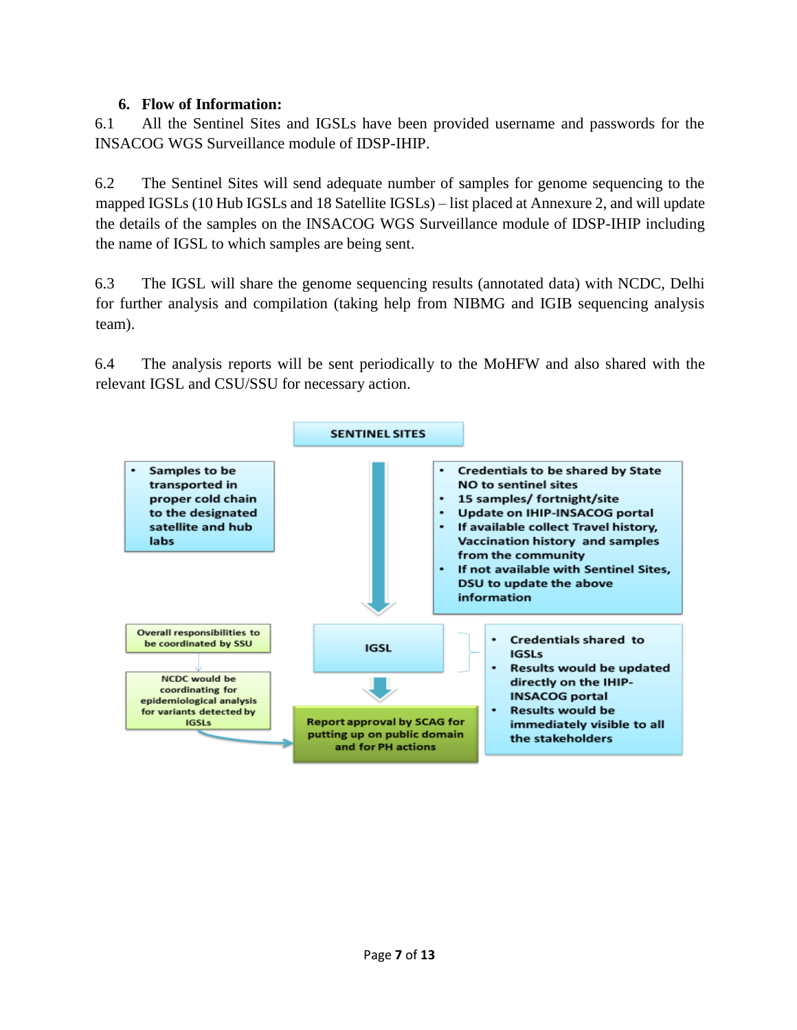## **6. Flow of Information:**

6.1 All the Sentinel Sites and IGSLs have been provided username and passwords for the INSACOG WGS Surveillance module of IDSP-IHIP.

6.2 The Sentinel Sites will send adequate number of samples for genome sequencing to the mapped IGSLs (10 Hub IGSLs and 18 Satellite IGSLs) – list placed at Annexure 2, and will update the details of the samples on the INSACOG WGS Surveillance module of IDSP-IHIP including the name of IGSL to which samples are being sent.

6.3 The IGSL will share the genome sequencing results (annotated data) with NCDC, Delhi for further analysis and compilation (taking help from NIBMG and IGIB sequencing analysis team).

6.4 The analysis reports will be sent periodically to the MoHFW and also shared with the relevant IGSL and CSU/SSU for necessary action.

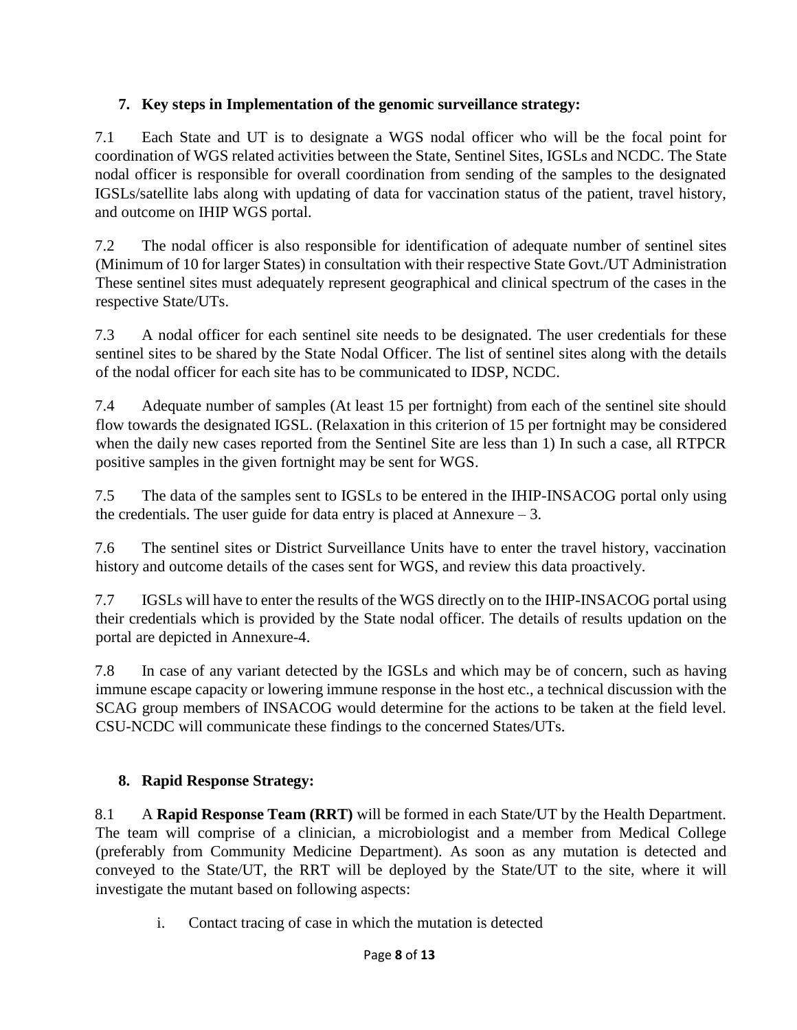## **7. Key steps in Implementation of the genomic surveillance strategy:**

7.1 Each State and UT is to designate a WGS nodal officer who will be the focal point for coordination of WGS related activities between the State, Sentinel Sites, IGSLs and NCDC. The State nodal officer is responsible for overall coordination from sending of the samples to the designated IGSLs/satellite labs along with updating of data for vaccination status of the patient, travel history, and outcome on IHIP WGS portal.

7.2 The nodal officer is also responsible for identification of adequate number of sentinel sites (Minimum of 10 for larger States) in consultation with their respective State Govt./UT Administration These sentinel sites must adequately represent geographical and clinical spectrum of the cases in the respective State/UTs.

7.3 A nodal officer for each sentinel site needs to be designated. The user credentials for these sentinel sites to be shared by the State Nodal Officer. The list of sentinel sites along with the details of the nodal officer for each site has to be communicated to IDSP, NCDC.

7.4 Adequate number of samples (At least 15 per fortnight) from each of the sentinel site should flow towards the designated IGSL. (Relaxation in this criterion of 15 per fortnight may be considered when the daily new cases reported from the Sentinel Site are less than 1) In such a case, all RTPCR positive samples in the given fortnight may be sent for WGS.

7.5 The data of the samples sent to IGSLs to be entered in the IHIP-INSACOG portal only using the credentials. The user guide for data entry is placed at Annexure  $-3$ .

7.6 The sentinel sites or District Surveillance Units have to enter the travel history, vaccination history and outcome details of the cases sent for WGS, and review this data proactively.

7.7 IGSLs will have to enter the results of the WGS directly on to the IHIP-INSACOG portal using their credentials which is provided by the State nodal officer. The details of results updation on the portal are depicted in Annexure-4.

7.8 In case of any variant detected by the IGSLs and which may be of concern, such as having immune escape capacity or lowering immune response in the host etc., a technical discussion with the SCAG group members of INSACOG would determine for the actions to be taken at the field level. CSU-NCDC will communicate these findings to the concerned States/UTs.

## **8. Rapid Response Strategy:**

8.1 A **Rapid Response Team (RRT)** will be formed in each State/UT by the Health Department. The team will comprise of a clinician, a microbiologist and a member from Medical College (preferably from Community Medicine Department). As soon as any mutation is detected and conveyed to the State/UT, the RRT will be deployed by the State/UT to the site, where it will investigate the mutant based on following aspects:

i. Contact tracing of case in which the mutation is detected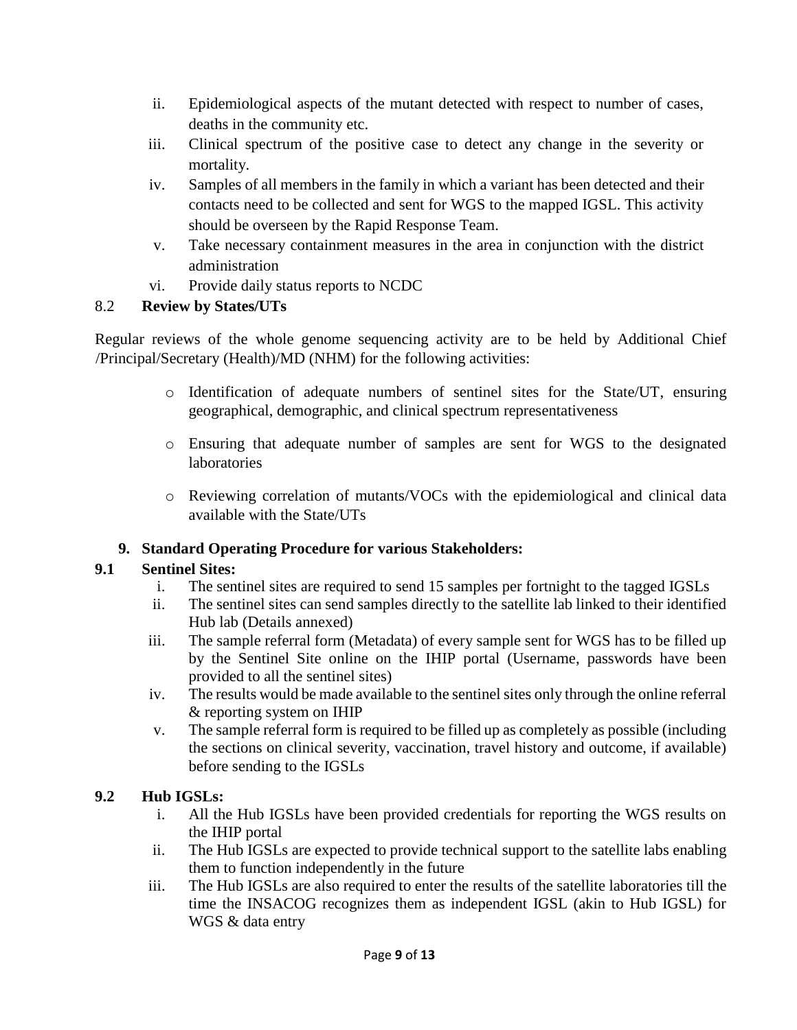- ii. Epidemiological aspects of the mutant detected with respect to number of cases, deaths in the community etc.
- iii. Clinical spectrum of the positive case to detect any change in the severity or mortality.
- iv. Samples of all members in the family in which a variant has been detected and their contacts need to be collected and sent for WGS to the mapped IGSL. This activity should be overseen by the Rapid Response Team.
- v. Take necessary containment measures in the area in conjunction with the district administration
- vi. Provide daily status reports to NCDC

## 8.2 **Review by States/UTs**

Regular reviews of the whole genome sequencing activity are to be held by Additional Chief /Principal/Secretary (Health)/MD (NHM) for the following activities:

- o Identification of adequate numbers of sentinel sites for the State/UT, ensuring geographical, demographic, and clinical spectrum representativeness
- o Ensuring that adequate number of samples are sent for WGS to the designated laboratories
- o Reviewing correlation of mutants/VOCs with the epidemiological and clinical data available with the State/UTs

## **9. Standard Operating Procedure for various Stakeholders:**

## **9.1 Sentinel Sites:**

- i. The sentinel sites are required to send 15 samples per fortnight to the tagged IGSLs
- ii. The sentinel sites can send samples directly to the satellite lab linked to their identified Hub lab (Details annexed)
- iii. The sample referral form (Metadata) of every sample sent for WGS has to be filled up by the Sentinel Site online on the IHIP portal (Username, passwords have been provided to all the sentinel sites)
- iv. The results would be made available to the sentinel sites only through the online referral & reporting system on IHIP
- v. The sample referral form is required to be filled up as completely as possible (including the sections on clinical severity, vaccination, travel history and outcome, if available) before sending to the IGSLs

## **9.2 Hub IGSLs:**

- i. All the Hub IGSLs have been provided credentials for reporting the WGS results on the IHIP portal
- ii. The Hub IGSLs are expected to provide technical support to the satellite labs enabling them to function independently in the future
- iii. The Hub IGSLs are also required to enter the results of the satellite laboratories till the time the INSACOG recognizes them as independent IGSL (akin to Hub IGSL) for WGS & data entry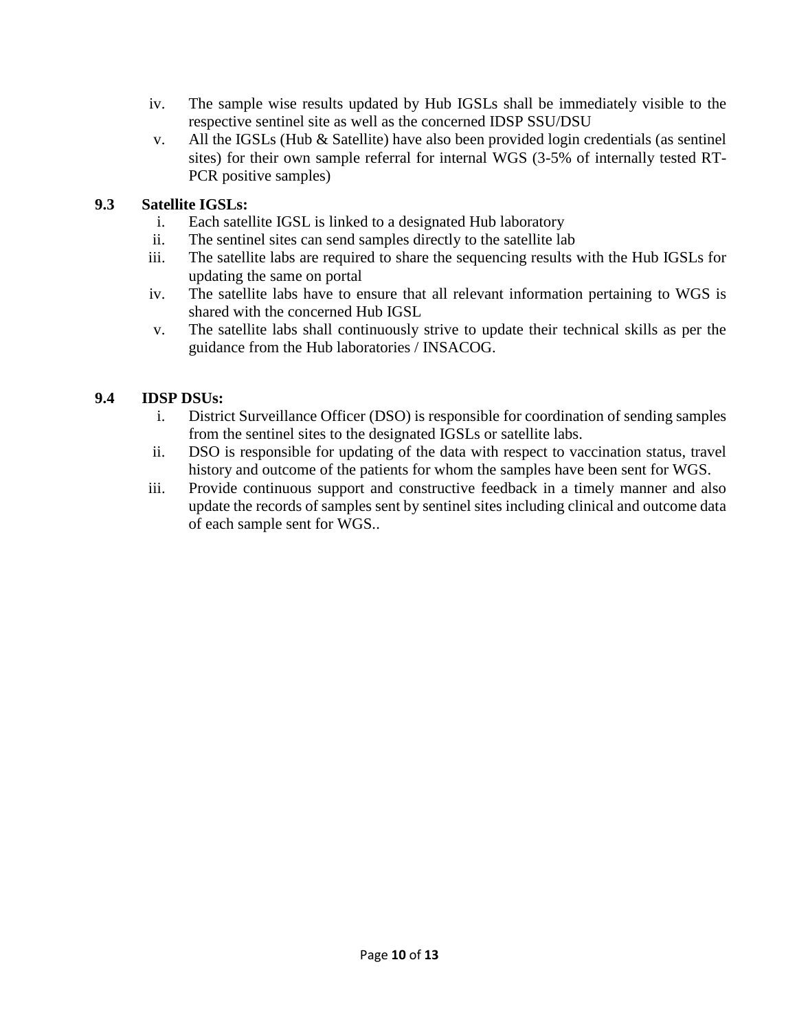- iv. The sample wise results updated by Hub IGSLs shall be immediately visible to the respective sentinel site as well as the concerned IDSP SSU/DSU
- v. All the IGSLs (Hub & Satellite) have also been provided login credentials (as sentinel sites) for their own sample referral for internal WGS (3-5% of internally tested RT-PCR positive samples)

## **9.3 Satellite IGSLs:**

- i. Each satellite IGSL is linked to a designated Hub laboratory
- ii. The sentinel sites can send samples directly to the satellite lab
- iii. The satellite labs are required to share the sequencing results with the Hub IGSLs for updating the same on portal
- iv. The satellite labs have to ensure that all relevant information pertaining to WGS is shared with the concerned Hub IGSL
- v. The satellite labs shall continuously strive to update their technical skills as per the guidance from the Hub laboratories / INSACOG.

## **9.4 IDSP DSUs:**

- i. District Surveillance Officer (DSO) is responsible for coordination of sending samples from the sentinel sites to the designated IGSLs or satellite labs.
- ii. DSO is responsible for updating of the data with respect to vaccination status, travel history and outcome of the patients for whom the samples have been sent for WGS.
- iii. Provide continuous support and constructive feedback in a timely manner and also update the records of samples sent by sentinel sites including clinical and outcome data of each sample sent for WGS..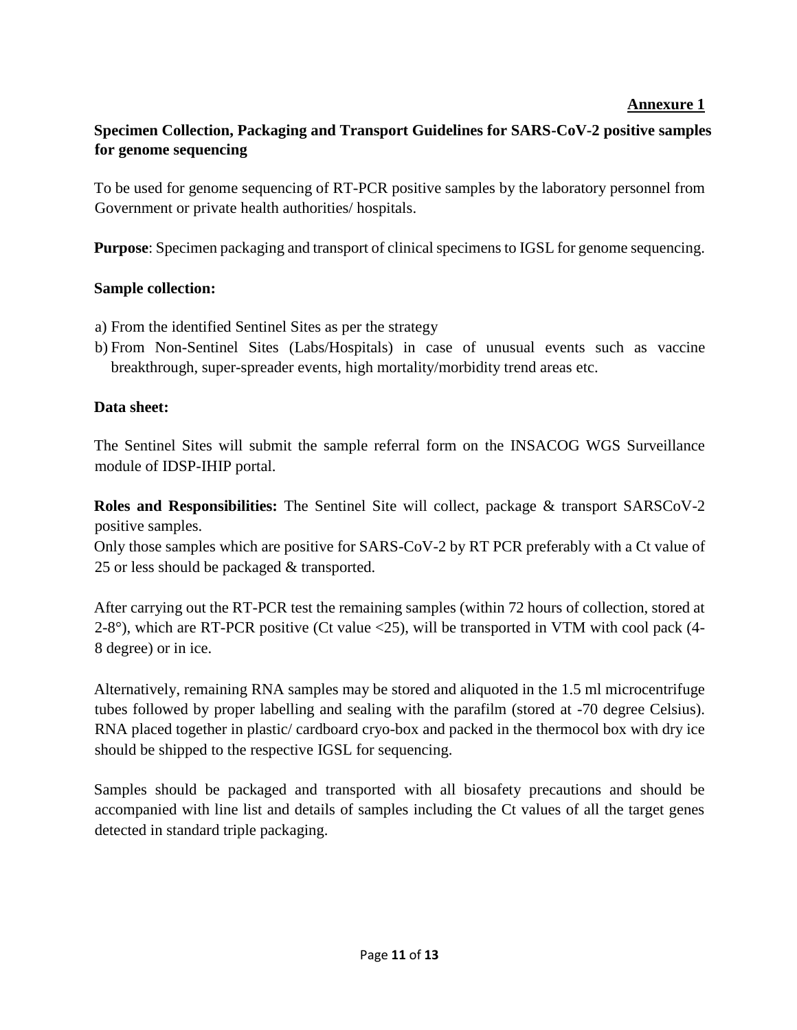## **Annexure 1**

## **Specimen Collection, Packaging and Transport Guidelines for SARS-CoV-2 positive samples for genome sequencing**

To be used for genome sequencing of RT-PCR positive samples by the laboratory personnel from Government or private health authorities/ hospitals.

**Purpose**: Specimen packaging and transport of clinical specimens to IGSL for genome sequencing.

#### **Sample collection:**

- a) From the identified Sentinel Sites as per the strategy
- b) From Non-Sentinel Sites (Labs/Hospitals) in case of unusual events such as vaccine breakthrough, super-spreader events, high mortality/morbidity trend areas etc.

## **Data sheet:**

The Sentinel Sites will submit the sample referral form on the INSACOG WGS Surveillance module of IDSP-IHIP portal.

**Roles and Responsibilities:** The Sentinel Site will collect, package & transport SARSCoV-2 positive samples.

Only those samples which are positive for SARS-CoV-2 by RT PCR preferably with a Ct value of 25 or less should be packaged & transported.

After carrying out the RT-PCR test the remaining samples (within 72 hours of collection, stored at 2-8°), which are RT-PCR positive (Ct value <25), will be transported in VTM with cool pack (4- 8 degree) or in ice.

Alternatively, remaining RNA samples may be stored and aliquoted in the 1.5 ml microcentrifuge tubes followed by proper labelling and sealing with the parafilm (stored at -70 degree Celsius). RNA placed together in plastic/ cardboard cryo-box and packed in the thermocol box with dry ice should be shipped to the respective IGSL for sequencing.

Samples should be packaged and transported with all biosafety precautions and should be accompanied with line list and details of samples including the Ct values of all the target genes detected in standard triple packaging.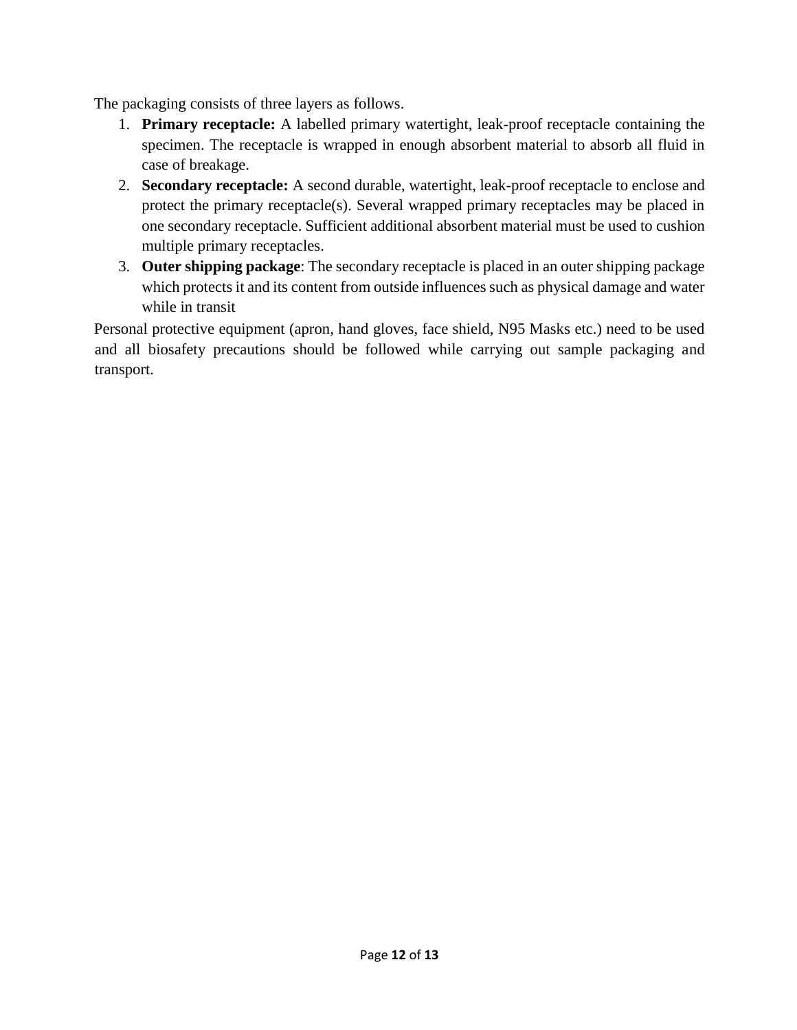The packaging consists of three layers as follows.

- 1. **Primary receptacle:** A labelled primary watertight, leak-proof receptacle containing the specimen. The receptacle is wrapped in enough absorbent material to absorb all fluid in case of breakage.
- 2. **Secondary receptacle:** A second durable, watertight, leak-proof receptacle to enclose and protect the primary receptacle(s). Several wrapped primary receptacles may be placed in one secondary receptacle. Sufficient additional absorbent material must be used to cushion multiple primary receptacles.
- 3. **Outer shipping package**: The secondary receptacle is placed in an outer shipping package which protects it and its content from outside influences such as physical damage and water while in transit

Personal protective equipment (apron, hand gloves, face shield, N95 Masks etc.) need to be used and all biosafety precautions should be followed while carrying out sample packaging and transport.